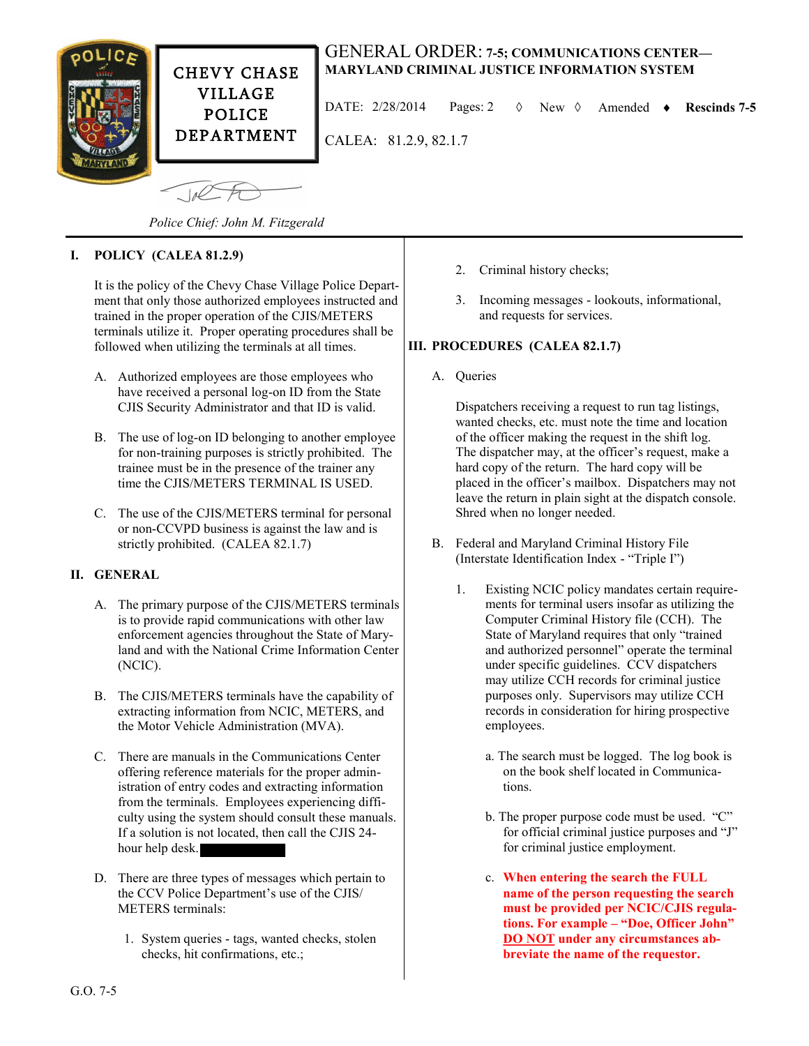

CHEVY CHASE VILLAGE POLICE DEPARTMENT

# GENERAL ORDER: **7-5; COMMUNICATIONS CENTER— MARYLAND CRIMINAL JUSTICE INFORMATION SYSTEM**

DATE:  $2/28/2014$  Pages: 2  $\Diamond$  New  $\Diamond$  Amended  $\bullet$  Rescinds 7-5

CALEA: 81.2.9, 82.1.7

 $\sqrt{10C}$ 

*Police Chief: John M. Fitzgerald*

## **I. POLICY (CALEA 81.2.9)**

It is the policy of the Chevy Chase Village Police Department that only those authorized employees instructed and trained in the proper operation of the CJIS/METERS terminals utilize it. Proper operating procedures shall be followed when utilizing the terminals at all times.

- A. Authorized employees are those employees who have received a personal log-on ID from the State CJIS Security Administrator and that ID is valid.
- B. The use of log-on ID belonging to another employee for non-training purposes is strictly prohibited. The trainee must be in the presence of the trainer any time the CJIS/METERS TERMINAL IS USED.
- C. The use of the CJIS/METERS terminal for personal or non-CCVPD business is against the law and is strictly prohibited. (CALEA 82.1.7)

#### **II. GENERAL**

- A. The primary purpose of the CJIS/METERS terminals is to provide rapid communications with other law enforcement agencies throughout the State of Maryland and with the National Crime Information Center (NCIC).
- B. The CJIS/METERS terminals have the capability of extracting information from NCIC, METERS, and the Motor Vehicle Administration (MVA).
- C. There are manuals in the Communications Center offering reference materials for the proper administration of entry codes and extracting information from the terminals. Employees experiencing difficulty using the system should consult these manuals. If a solution is not located, then call the CJIS 24 hour help desk.
- D. There are three types of messages which pertain to the CCV Police Department's use of the CJIS/ METERS terminals:
	- 1. System queries tags, wanted checks, stolen checks, hit confirmations, etc.;
- 2. Criminal history checks;
- 3. Incoming messages lookouts, informational, and requests for services.

### **III. PROCEDURES (CALEA 82.1.7)**

A. Queries

Dispatchers receiving a request to run tag listings, wanted checks, etc. must note the time and location of the officer making the request in the shift log. The dispatcher may, at the officer's request, make a hard copy of the return. The hard copy will be placed in the officer's mailbox. Dispatchers may not leave the return in plain sight at the dispatch console. Shred when no longer needed.

- B. Federal and Maryland Criminal History File (Interstate Identification Index - "Triple I")
	- 1. Existing NCIC policy mandates certain requirements for terminal users insofar as utilizing the Computer Criminal History file (CCH). The State of Maryland requires that only "trained and authorized personnel" operate the terminal under specific guidelines. CCV dispatchers may utilize CCH records for criminal justice purposes only. Supervisors may utilize CCH records in consideration for hiring prospective employees.
		- a. The search must be logged. The log book is on the book shelf located in Communications.
		- b. The proper purpose code must be used. "C" for official criminal justice purposes and "J" for criminal justice employment.
		- c. **When entering the search the FULL name of the person requesting the search must be provided per NCIC/CJIS regulations. For example – "Doe, Officer John" DO NOT under any circumstances abbreviate the name of the requestor.**